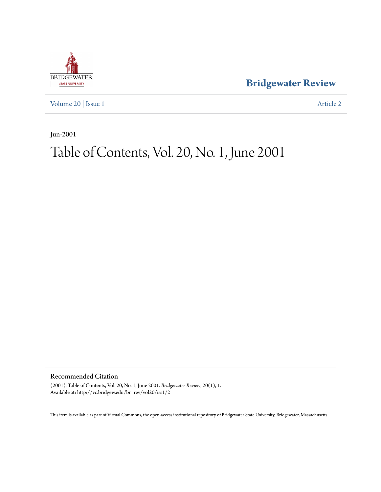

**[Bridgewater Review](http://vc.bridgew.edu/br_rev)**

[Volume 20](http://vc.bridgew.edu/br_rev/vol20) | [Issue 1](http://vc.bridgew.edu/br_rev/vol20/iss1) [Article 2](http://vc.bridgew.edu/br_rev/vol20/iss1/2)

Jun-2001

## Table of Contents, Vol. 20, No. 1, June 2001

Recommended Citation

(2001). Table of Contents, Vol. 20, No. 1, June 2001. *Bridgewater Review*, 20(1), 1. Available at: http://vc.bridgew.edu/br\_rev/vol20/iss1/2

This item is available as part of Virtual Commons, the open-access institutional repository of Bridgewater State University, Bridgewater, Massachusetts.